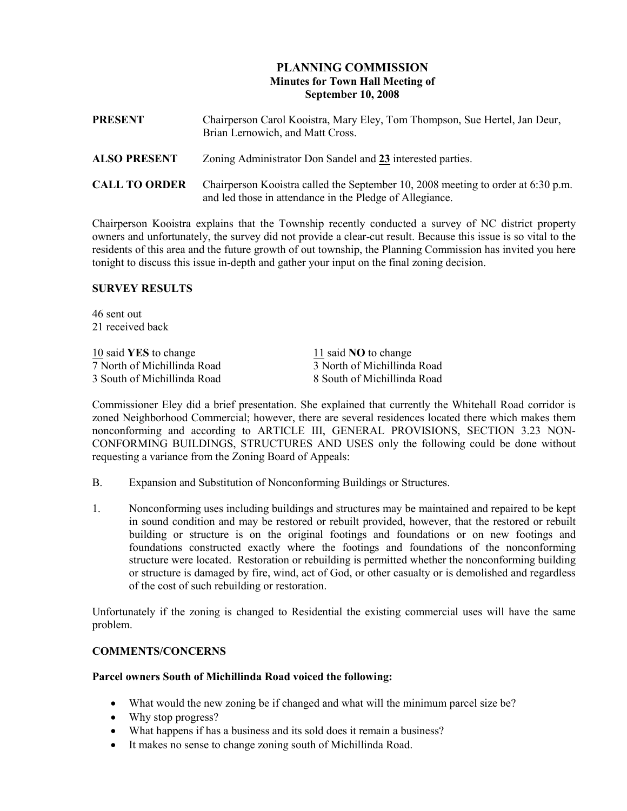# PLANNING COMMISSION Minutes for Town Hall Meeting of September 10, 2008

| <b>PRESENT</b>       | Chairperson Carol Kooistra, Mary Eley, Tom Thompson, Sue Hertel, Jan Deur,<br>Brian Lernowich, and Matt Cross.                               |
|----------------------|----------------------------------------------------------------------------------------------------------------------------------------------|
| <b>ALSO PRESENT</b>  | Zoning Administrator Don Sandel and 23 interested parties.                                                                                   |
| <b>CALL TO ORDER</b> | Chairperson Kooistra called the September 10, 2008 meeting to order at 6:30 p.m.<br>and led those in attendance in the Pledge of Allegiance. |

Chairperson Kooistra explains that the Township recently conducted a survey of NC district property owners and unfortunately, the survey did not provide a clear-cut result. Because this issue is so vital to the residents of this area and the future growth of out township, the Planning Commission has invited you here tonight to discuss this issue in-depth and gather your input on the final zoning decision.

### SURVEY RESULTS

46 sent out 21 received back

10 said YES to change 11 said NO to change 7 North of Michillinda Road 3 North of Michillinda Road

3 South of Michillinda Road 8 South of Michillinda Road

Commissioner Eley did a brief presentation. She explained that currently the Whitehall Road corridor is zoned Neighborhood Commercial; however, there are several residences located there which makes them nonconforming and according to ARTICLE III, GENERAL PROVISIONS, SECTION 3.23 NON-CONFORMING BUILDINGS, STRUCTURES AND USES only the following could be done without requesting a variance from the Zoning Board of Appeals:

- B. Expansion and Substitution of Nonconforming Buildings or Structures.
- 1. Nonconforming uses including buildings and structures may be maintained and repaired to be kept in sound condition and may be restored or rebuilt provided, however, that the restored or rebuilt building or structure is on the original footings and foundations or on new footings and foundations constructed exactly where the footings and foundations of the nonconforming structure were located. Restoration or rebuilding is permitted whether the nonconforming building or structure is damaged by fire, wind, act of God, or other casualty or is demolished and regardless of the cost of such rebuilding or restoration.

Unfortunately if the zoning is changed to Residential the existing commercial uses will have the same problem.

### COMMENTS/CONCERNS

### Parcel owners South of Michillinda Road voiced the following:

- What would the new zoning be if changed and what will the minimum parcel size be?
- Why stop progress?
- What happens if has a business and its sold does it remain a business?
- It makes no sense to change zoning south of Michillinda Road.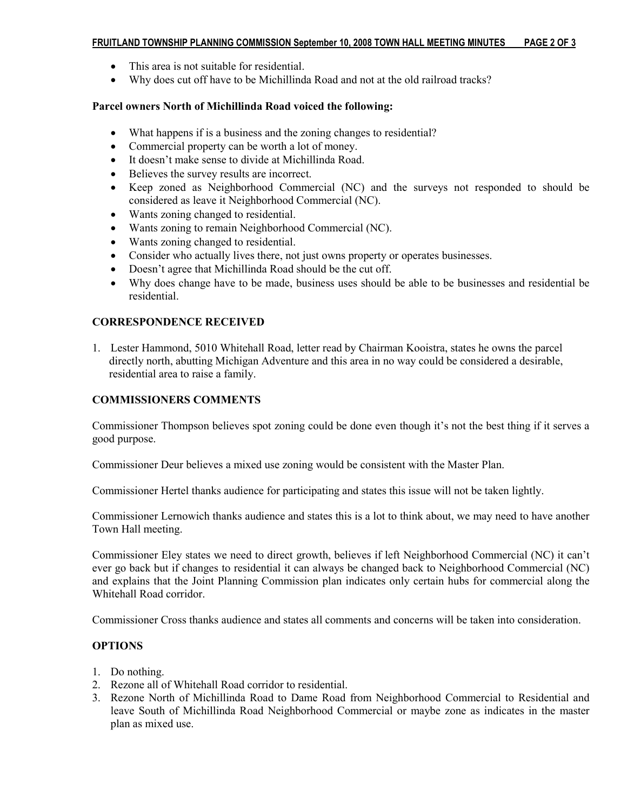#### FRUITLAND TOWNSHIP PLANNING COMMISSION September 10, 2008 TOWN HALL MEETING MINUTES PAGE 2 OF 3

- This area is not suitable for residential.
- Why does cut off have to be Michillinda Road and not at the old railroad tracks?

### Parcel owners North of Michillinda Road voiced the following:

- What happens if is a business and the zoning changes to residential?
- Commercial property can be worth a lot of money.
- It doesn't make sense to divide at Michillinda Road.
- Believes the survey results are incorrect.
- Keep zoned as Neighborhood Commercial (NC) and the surveys not responded to should be considered as leave it Neighborhood Commercial (NC).
- Wants zoning changed to residential.
- Wants zoning to remain Neighborhood Commercial (NC).
- Wants zoning changed to residential.
- Consider who actually lives there, not just owns property or operates businesses.
- Doesn't agree that Michillinda Road should be the cut off.
- Why does change have to be made, business uses should be able to be businesses and residential be residential.

## CORRESPONDENCE RECEIVED

1. Lester Hammond, 5010 Whitehall Road, letter read by Chairman Kooistra, states he owns the parcel directly north, abutting Michigan Adventure and this area in no way could be considered a desirable, residential area to raise a family.

### COMMISSIONERS COMMENTS

Commissioner Thompson believes spot zoning could be done even though it's not the best thing if it serves a good purpose.

Commissioner Deur believes a mixed use zoning would be consistent with the Master Plan.

Commissioner Hertel thanks audience for participating and states this issue will not be taken lightly.

Commissioner Lernowich thanks audience and states this is a lot to think about, we may need to have another Town Hall meeting.

Commissioner Eley states we need to direct growth, believes if left Neighborhood Commercial (NC) it can't ever go back but if changes to residential it can always be changed back to Neighborhood Commercial (NC) and explains that the Joint Planning Commission plan indicates only certain hubs for commercial along the Whitehall Road corridor.

Commissioner Cross thanks audience and states all comments and concerns will be taken into consideration.

### **OPTIONS**

- 1. Do nothing.
- 2. Rezone all of Whitehall Road corridor to residential.
- 3. Rezone North of Michillinda Road to Dame Road from Neighborhood Commercial to Residential and leave South of Michillinda Road Neighborhood Commercial or maybe zone as indicates in the master plan as mixed use.